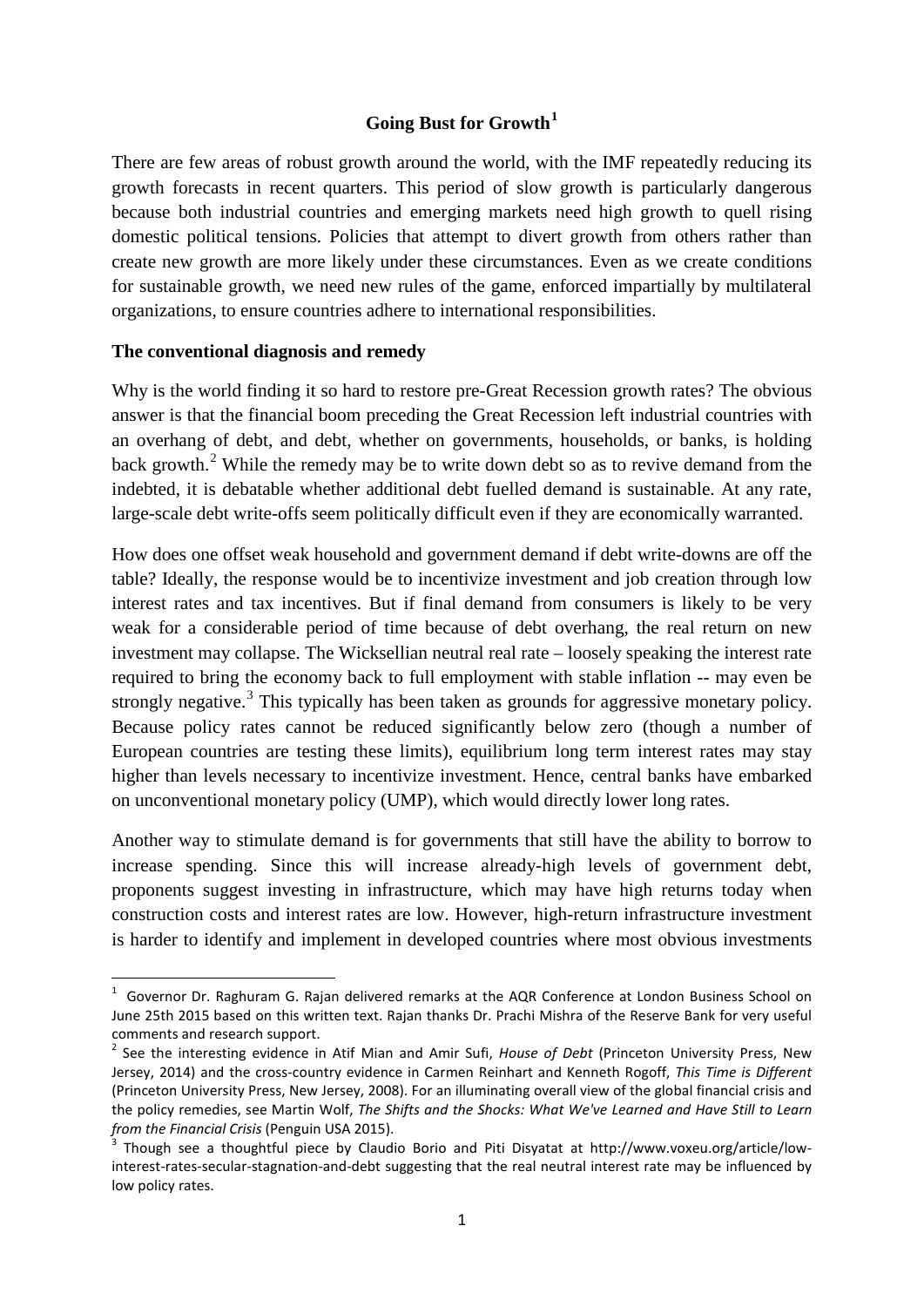## **Going Bust for Growth[1](#page-0-0)**

There are few areas of robust growth around the world, with the IMF repeatedly reducing its growth forecasts in recent quarters. This period of slow growth is particularly dangerous because both industrial countries and emerging markets need high growth to quell rising domestic political tensions. Policies that attempt to divert growth from others rather than create new growth are more likely under these circumstances. Even as we create conditions for sustainable growth, we need new rules of the game, enforced impartially by multilateral organizations, to ensure countries adhere to international responsibilities.

### **The conventional diagnosis and remedy**

<u>.</u>

Why is the world finding it so hard to restore pre-Great Recession growth rates? The obvious answer is that the financial boom preceding the Great Recession left industrial countries with an overhang of debt, and debt, whether on governments, households, or banks, is holding back growth.<sup>[2](#page-0-1)</sup> While the remedy may be to write down debt so as to revive demand from the indebted, it is debatable whether additional debt fuelled demand is sustainable. At any rate, large-scale debt write-offs seem politically difficult even if they are economically warranted.

How does one offset weak household and government demand if debt write-downs are off the table? Ideally, the response would be to incentivize investment and job creation through low interest rates and tax incentives. But if final demand from consumers is likely to be very weak for a considerable period of time because of debt overhang, the real return on new investment may collapse. The Wicksellian neutral real rate – loosely speaking the interest rate required to bring the economy back to full employment with stable inflation -- may even be strongly negative.<sup>[3](#page-0-2)</sup> This typically has been taken as grounds for aggressive monetary policy. Because policy rates cannot be reduced significantly below zero (though a number of European countries are testing these limits), equilibrium long term interest rates may stay higher than levels necessary to incentivize investment. Hence, central banks have embarked on unconventional monetary policy (UMP), which would directly lower long rates.

Another way to stimulate demand is for governments that still have the ability to borrow to increase spending. Since this will increase already-high levels of government debt, proponents suggest investing in infrastructure, which may have high returns today when construction costs and interest rates are low. However, high-return infrastructure investment is harder to identify and implement in developed countries where most obvious investments

<span id="page-0-0"></span> $1$  Governor Dr. Raghuram G. Rajan delivered remarks at the AQR Conference at London Business School on June 25th 2015 based on this written text. Rajan thanks Dr. Prachi Mishra of the Reserve Bank for very useful comments and research support.

<span id="page-0-1"></span><sup>2</sup> See the interesting evidence in Atif Mian and Amir Sufi, *House of Debt* (Princeton University Press, New Jersey, 2014) and the cross-country evidence in Carmen Reinhart and Kenneth Rogoff, *This Time is Different*  (Princeton University Press, New Jersey, 2008). For an illuminating overall view of the global financial crisis and the policy remedies, see Martin Wolf, *The Shifts and the Shocks: What We've Learned and Have Still to Learn from the Financial Crisis* (Penguin USA 2015).

<span id="page-0-2"></span><sup>&</sup>lt;sup>3</sup> Though see a thoughtful piece by Claudio Borio and Piti Disyatat at http://www.voxeu.org/article/lowinterest-rates-secular-stagnation-and-debt suggesting that the real neutral interest rate may be influenced by low policy rates.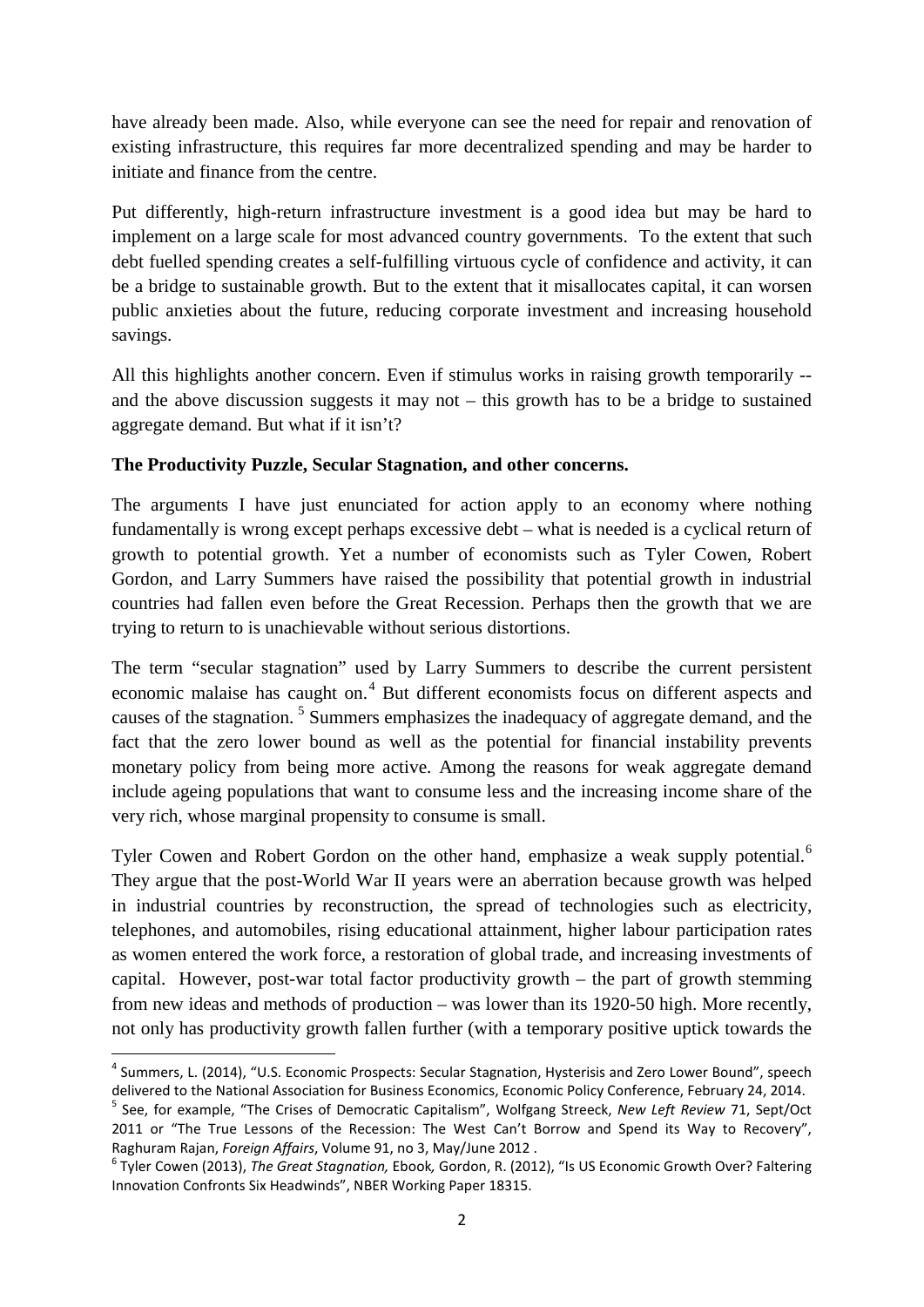have already been made. Also, while everyone can see the need for repair and renovation of existing infrastructure, this requires far more decentralized spending and may be harder to initiate and finance from the centre.

Put differently, high-return infrastructure investment is a good idea but may be hard to implement on a large scale for most advanced country governments. To the extent that such debt fuelled spending creates a self-fulfilling virtuous cycle of confidence and activity, it can be a bridge to sustainable growth. But to the extent that it misallocates capital, it can worsen public anxieties about the future, reducing corporate investment and increasing household savings.

All this highlights another concern. Even if stimulus works in raising growth temporarily - and the above discussion suggests it may not – this growth has to be a bridge to sustained aggregate demand. But what if it isn't?

# **The Productivity Puzzle, Secular Stagnation, and other concerns.**

The arguments I have just enunciated for action apply to an economy where nothing fundamentally is wrong except perhaps excessive debt – what is needed is a cyclical return of growth to potential growth. Yet a number of economists such as Tyler Cowen, Robert Gordon, and Larry Summers have raised the possibility that potential growth in industrial countries had fallen even before the Great Recession. Perhaps then the growth that we are trying to return to is unachievable without serious distortions.

The term "secular stagnation" used by Larry Summers to describe the current persistent economic malaise has caught on.<sup>[4](#page-1-0)</sup> But different economists focus on different aspects and causes of the stagnation. [5](#page-1-1) Summers emphasizes the inadequacy of aggregate demand, and the fact that the zero lower bound as well as the potential for financial instability prevents monetary policy from being more active. Among the reasons for weak aggregate demand include ageing populations that want to consume less and the increasing income share of the very rich, whose marginal propensity to consume is small.

Tyler Cowen and Robert Gordon on the other hand, emphasize a weak supply potential.<sup>[6](#page-1-2)</sup> They argue that the post-World War II years were an aberration because growth was helped in industrial countries by reconstruction, the spread of technologies such as electricity, telephones, and automobiles, rising educational attainment, higher labour participation rates as women entered the work force, a restoration of global trade, and increasing investments of capital. However, post-war total factor productivity growth – the part of growth stemming from new ideas and methods of production – was lower than its 1920-50 high. More recently, not only has productivity growth fallen further (with a temporary positive uptick towards the

.<br>-

<span id="page-1-0"></span><sup>&</sup>lt;sup>4</sup> Summers, L. (2014), "U.S. Economic Prospects: Secular Stagnation, Hysterisis and Zero Lower Bound", speech delivered to the National Association for Business Economics, Economic Policy Conference, February 24, 2014.

<span id="page-1-1"></span><sup>5</sup> See, for example, "The Crises of Democratic Capitalism", Wolfgang Streeck, *New Left Review* 71, Sept/Oct 2011 or "The True Lessons of the Recession: The West Can't Borrow and Spend its Way to Recovery", Raghuram Rajan, *Foreign Affairs*, Volume 91, no 3, May/June 2012 .

<span id="page-1-2"></span><sup>6</sup> Tyler Cowen (2013), *The Great Stagnation,* Ebook*,* Gordon, R. (2012), "Is US Economic Growth Over? Faltering Innovation Confronts Six Headwinds", NBER Working Paper 18315.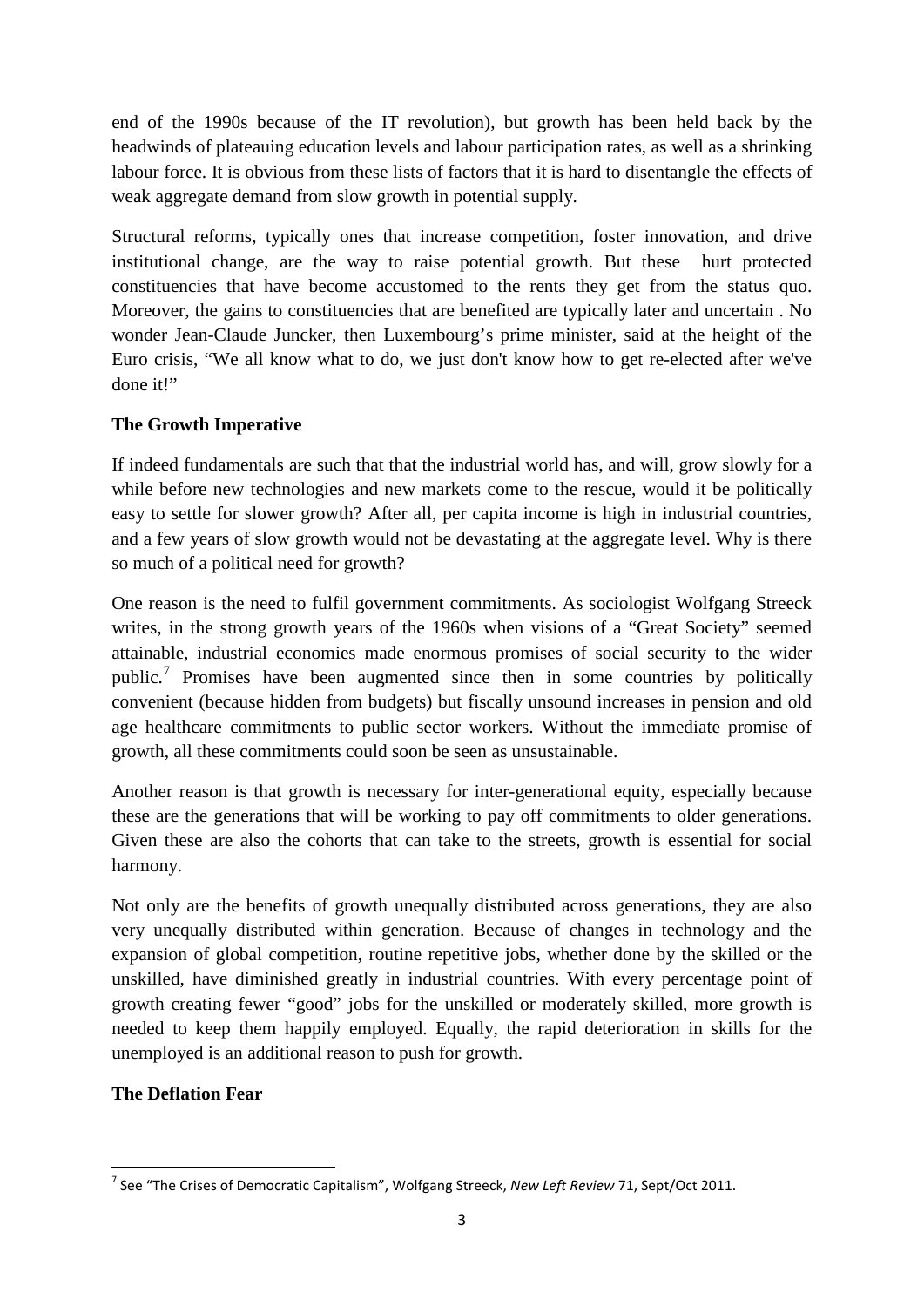end of the 1990s because of the IT revolution), but growth has been held back by the headwinds of plateauing education levels and labour participation rates, as well as a shrinking labour force. It is obvious from these lists of factors that it is hard to disentangle the effects of weak aggregate demand from slow growth in potential supply.

Structural reforms, typically ones that increase competition, foster innovation, and drive institutional change, are the way to raise potential growth. But these hurt protected constituencies that have become accustomed to the rents they get from the status quo. Moreover, the gains to constituencies that are benefited are typically later and uncertain . No wonder Jean-Claude Juncker, then Luxembourg's prime minister, said at the height of the Euro crisis, "We all know what to do, we just don't know how to get re-elected after we've done it!"

# **The Growth Imperative**

If indeed fundamentals are such that that the industrial world has, and will, grow slowly for a while before new technologies and new markets come to the rescue, would it be politically easy to settle for slower growth? After all, per capita income is high in industrial countries, and a few years of slow growth would not be devastating at the aggregate level. Why is there so much of a political need for growth?

One reason is the need to fulfil government commitments. As sociologist Wolfgang Streeck writes, in the strong growth years of the 1960s when visions of a "Great Society" seemed attainable, industrial economies made enormous promises of social security to the wider public.[7](#page-2-0) Promises have been augmented since then in some countries by politically convenient (because hidden from budgets) but fiscally unsound increases in pension and old age healthcare commitments to public sector workers. Without the immediate promise of growth, all these commitments could soon be seen as unsustainable.

Another reason is that growth is necessary for inter-generational equity, especially because these are the generations that will be working to pay off commitments to older generations. Given these are also the cohorts that can take to the streets, growth is essential for social harmony.

Not only are the benefits of growth unequally distributed across generations, they are also very unequally distributed within generation. Because of changes in technology and the expansion of global competition, routine repetitive jobs, whether done by the skilled or the unskilled, have diminished greatly in industrial countries. With every percentage point of growth creating fewer "good" jobs for the unskilled or moderately skilled, more growth is needed to keep them happily employed. Equally, the rapid deterioration in skills for the unemployed is an additional reason to push for growth.

## **The Deflation Fear**

.

<span id="page-2-0"></span><sup>7</sup> See "The Crises of Democratic Capitalism", Wolfgang Streeck, *New Left Review* 71, Sept/Oct 2011.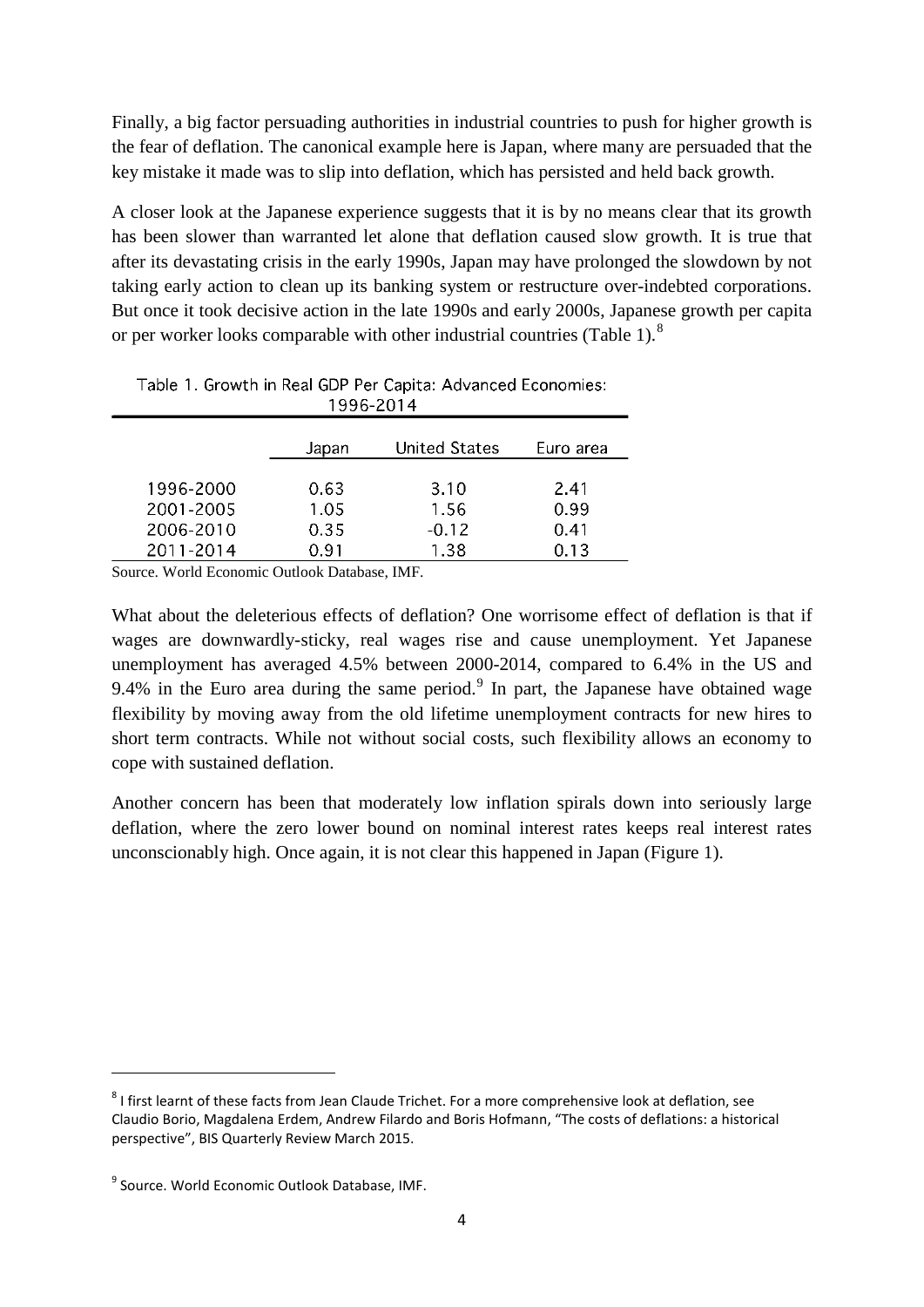Finally, a big factor persuading authorities in industrial countries to push for higher growth is the fear of deflation. The canonical example here is Japan, where many are persuaded that the key mistake it made was to slip into deflation, which has persisted and held back growth.

A closer look at the Japanese experience suggests that it is by no means clear that its growth has been slower than warranted let alone that deflation caused slow growth. It is true that after its devastating crisis in the early 1990s, Japan may have prolonged the slowdown by not taking early action to clean up its banking system or restructure over-indebted corporations. But once it took decisive action in the late 1990s and early 2000s, Japanese growth per capita or per worker looks comparable with other industrial countries (Table 1). $^{8}$  $^{8}$  $^{8}$ 

| 1 J J U - 4 U I T      |              |                      |              |
|------------------------|--------------|----------------------|--------------|
|                        | Japan        | <b>United States</b> | Euro area    |
| 1996-2000              | 0.63         | 3.10                 | 2.41         |
| 2001-2005              | 1.05         | 1.56                 | 0.99         |
| 2006-2010<br>2011-2014 | 0.35<br>0.91 | $-0.12$<br>1.38      | 0.41<br>0.13 |
|                        |              |                      |              |

Table 1. Growth in Real GDP Per Capita: Advanced Economies:  $1006 - 2014$ 

Source. World Economic Outlook Database, IMF.

What about the deleterious effects of deflation? One worrisome effect of deflation is that if wages are downwardly-sticky, real wages rise and cause unemployment. Yet Japanese unemployment has averaged 4.5% between 2000-2014, compared to 6.4% in the US and [9](#page-3-1).4% in the Euro area during the same period. $9$  In part, the Japanese have obtained wage flexibility by moving away from the old lifetime unemployment contracts for new hires to short term contracts. While not without social costs, such flexibility allows an economy to cope with sustained deflation.

Another concern has been that moderately low inflation spirals down into seriously large deflation, where the zero lower bound on nominal interest rates keeps real interest rates unconscionably high. Once again, it is not clear this happened in Japan (Figure 1).

.<br>-

<span id="page-3-0"></span><sup>&</sup>lt;sup>8</sup> I first learnt of these facts from Jean Claude Trichet. For a more comprehensive look at deflation, see Claudio Borio, [Magdalena Erdem,](https://www.bis.org/author/magdalena_erdem.htm) [Andrew Filardo](https://www.bis.org/author/andrew_filardo.htm) and [Boris Hofmann,](https://www.bis.org/author/boris_hofmann.htm) ["The costs of deflations: a historical](https://www.bis.org/publ/qtrpdf/r_qt1503e.htm)  [perspective"](https://www.bis.org/publ/qtrpdf/r_qt1503e.htm), BIS Quarterly Review March 2015.

<span id="page-3-1"></span><sup>9</sup> Source. World Economic Outlook Database, IMF.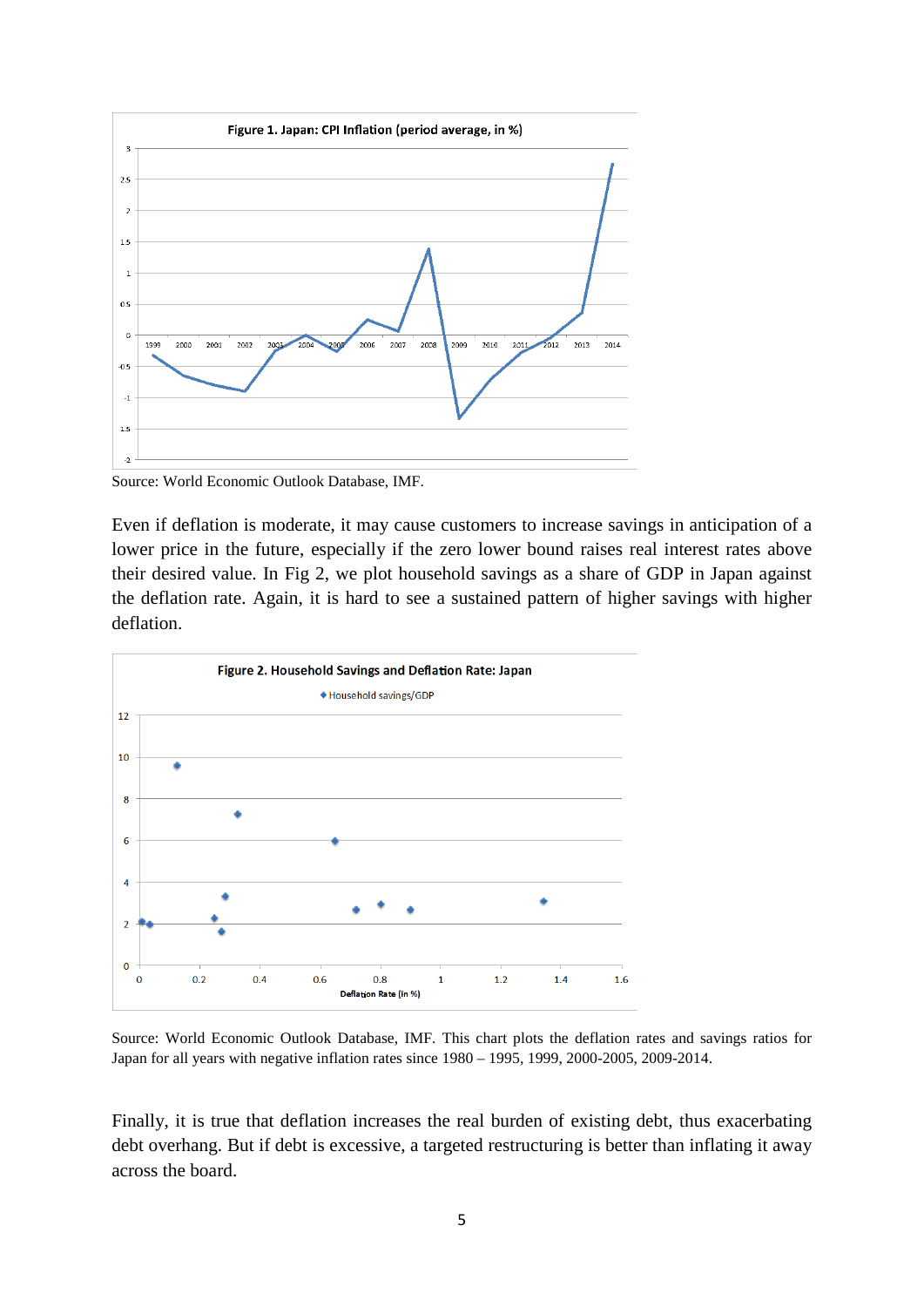

Source: World Economic Outlook Database, IMF.

Even if deflation is moderate, it may cause customers to increase savings in anticipation of a lower price in the future, especially if the zero lower bound raises real interest rates above their desired value. In Fig 2, we plot household savings as a share of GDP in Japan against the deflation rate. Again, it is hard to see a sustained pattern of higher savings with higher deflation.



Source: World Economic Outlook Database, IMF. This chart plots the deflation rates and savings ratios for Japan for all years with negative inflation rates since 1980 – 1995, 1999, 2000-2005, 2009-2014.

Finally, it is true that deflation increases the real burden of existing debt, thus exacerbating debt overhang. But if debt is excessive, a targeted restructuring is better than inflating it away across the board.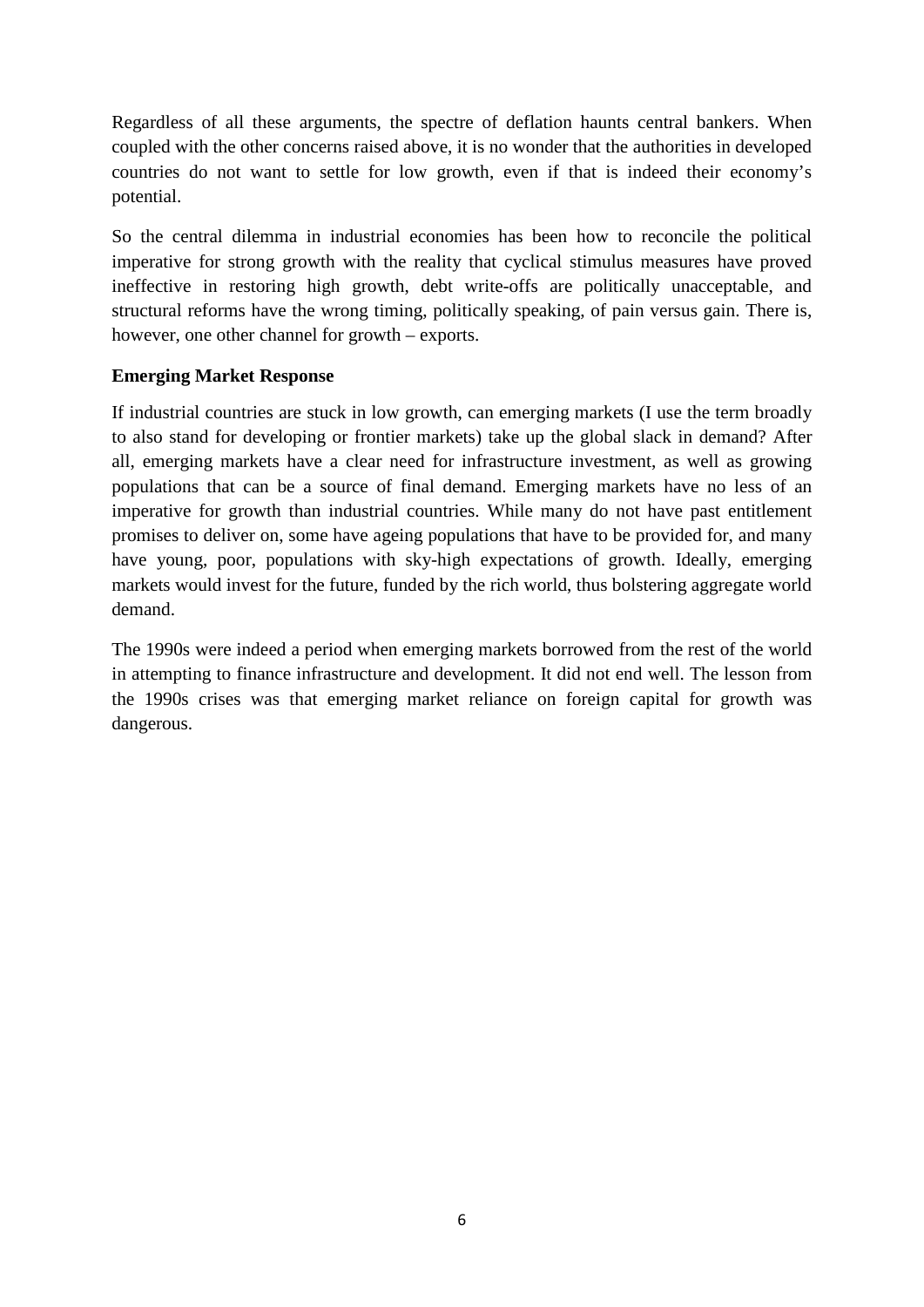Regardless of all these arguments, the spectre of deflation haunts central bankers. When coupled with the other concerns raised above, it is no wonder that the authorities in developed countries do not want to settle for low growth, even if that is indeed their economy's potential.

So the central dilemma in industrial economies has been how to reconcile the political imperative for strong growth with the reality that cyclical stimulus measures have proved ineffective in restoring high growth, debt write-offs are politically unacceptable, and structural reforms have the wrong timing, politically speaking, of pain versus gain. There is, however, one other channel for growth – exports.

## **Emerging Market Response**

If industrial countries are stuck in low growth, can emerging markets (I use the term broadly to also stand for developing or frontier markets) take up the global slack in demand? After all, emerging markets have a clear need for infrastructure investment, as well as growing populations that can be a source of final demand. Emerging markets have no less of an imperative for growth than industrial countries. While many do not have past entitlement promises to deliver on, some have ageing populations that have to be provided for, and many have young, poor, populations with sky-high expectations of growth. Ideally, emerging markets would invest for the future, funded by the rich world, thus bolstering aggregate world demand.

The 1990s were indeed a period when emerging markets borrowed from the rest of the world in attempting to finance infrastructure and development. It did not end well. The lesson from the 1990s crises was that emerging market reliance on foreign capital for growth was dangerous.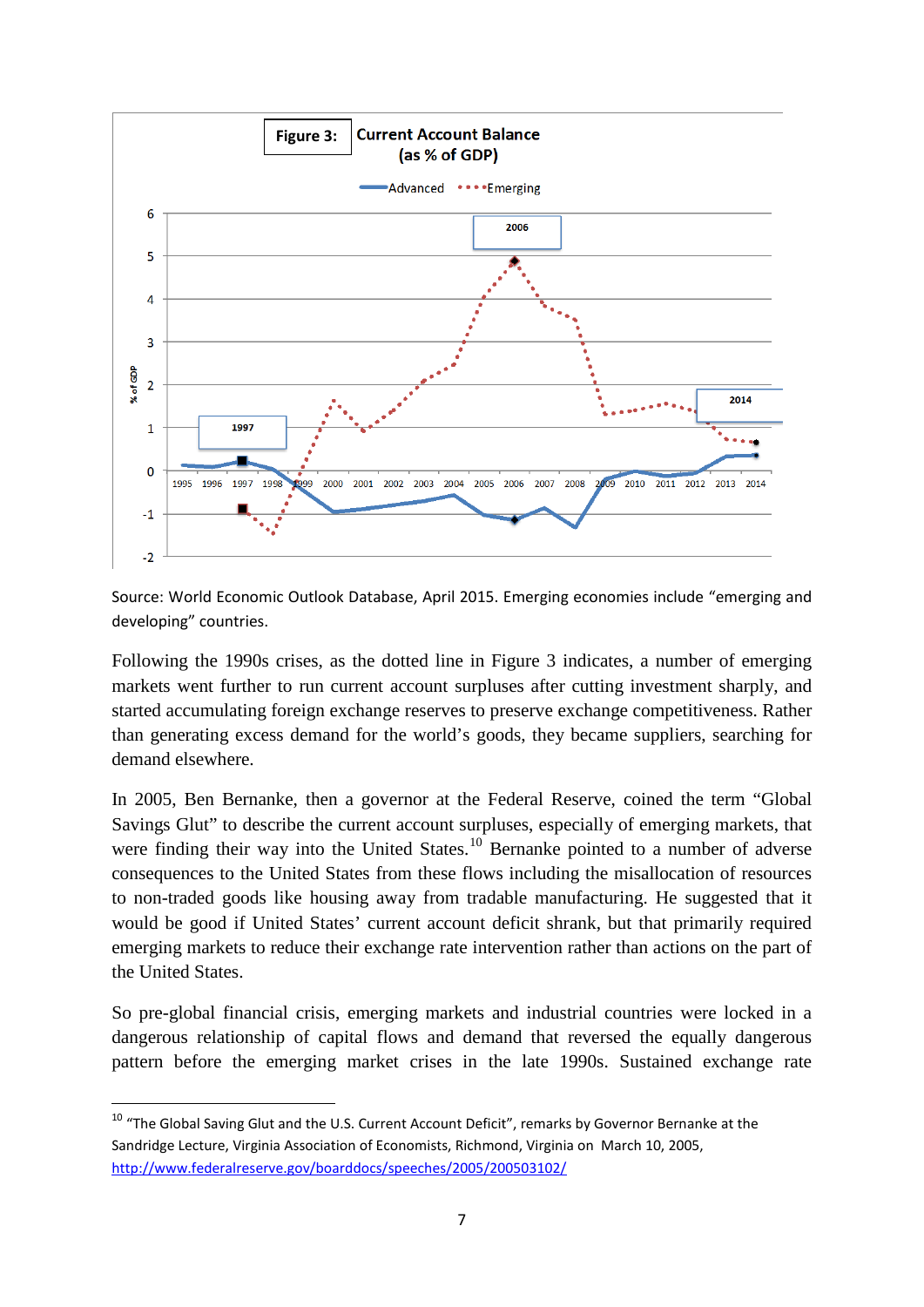

Source: World Economic Outlook Database, April 2015. Emerging economies include "emerging and developing" countries.

Following the 1990s crises, as the dotted line in Figure 3 indicates, a number of emerging markets went further to run current account surpluses after cutting investment sharply, and started accumulating foreign exchange reserves to preserve exchange competitiveness. Rather than generating excess demand for the world's goods, they became suppliers, searching for demand elsewhere.

In 2005, Ben Bernanke, then a governor at the Federal Reserve, coined the term "Global Savings Glut" to describe the current account surpluses, especially of emerging markets, that were finding their way into the United States.<sup>[10](#page-6-0)</sup> Bernanke pointed to a number of adverse consequences to the United States from these flows including the misallocation of resources to non-traded goods like housing away from tradable manufacturing. He suggested that it would be good if United States' current account deficit shrank, but that primarily required emerging markets to reduce their exchange rate intervention rather than actions on the part of the United States.

So pre-global financial crisis, emerging markets and industrial countries were locked in a dangerous relationship of capital flows and demand that reversed the equally dangerous pattern before the emerging market crises in the late 1990s. Sustained exchange rate

<u>.</u>

<span id="page-6-0"></span> $10$  "The Global Saving Glut and the U.S. Current Account Deficit", remarks by Governor Bernanke at the Sandridge Lecture, Virginia Association of Economists, Richmond, Virginia on March 10, 2005, <http://www.federalreserve.gov/boarddocs/speeches/2005/200503102/>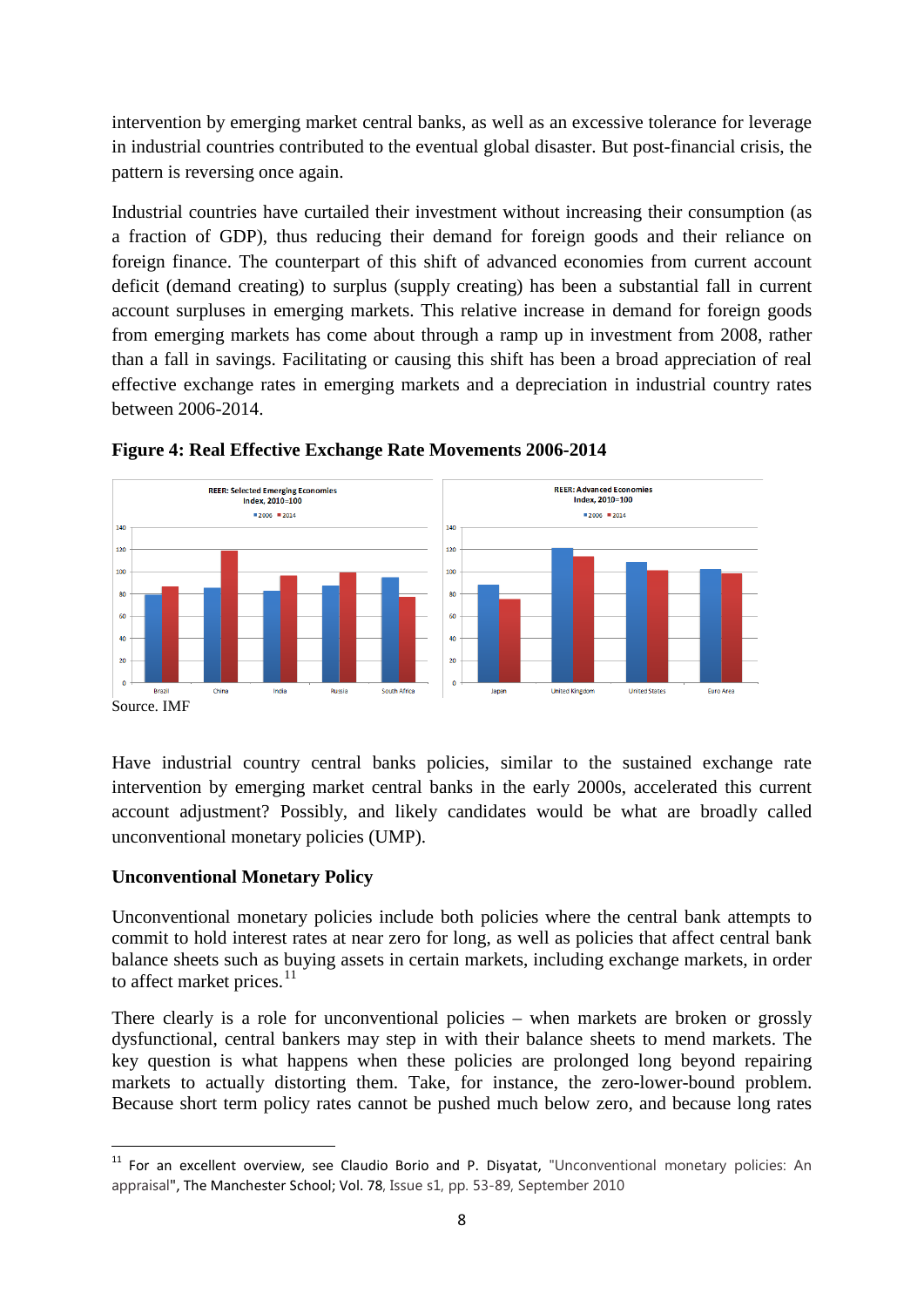intervention by emerging market central banks, as well as an excessive tolerance for leverage in industrial countries contributed to the eventual global disaster. But post-financial crisis, the pattern is reversing once again.

Industrial countries have curtailed their investment without increasing their consumption (as a fraction of GDP), thus reducing their demand for foreign goods and their reliance on foreign finance. The counterpart of this shift of advanced economies from current account deficit (demand creating) to surplus (supply creating) has been a substantial fall in current account surpluses in emerging markets. This relative increase in demand for foreign goods from emerging markets has come about through a ramp up in investment from 2008, rather than a fall in savings. Facilitating or causing this shift has been a broad appreciation of real effective exchange rates in emerging markets and a depreciation in industrial country rates between 2006-2014.





Have industrial country central banks policies, similar to the sustained exchange rate intervention by emerging market central banks in the early 2000s, accelerated this current account adjustment? Possibly, and likely candidates would be what are broadly called unconventional monetary policies (UMP).

# **Unconventional Monetary Policy**

.<br>-

Unconventional monetary policies include both policies where the central bank attempts to commit to hold interest rates at near zero for long, as well as policies that affect central bank balance sheets such as buying assets in certain markets, including exchange markets, in order to affect market prices. $11$ 

There clearly is a role for unconventional policies – when markets are broken or grossly dysfunctional, central bankers may step in with their balance sheets to mend markets. The key question is what happens when these policies are prolonged long beyond repairing markets to actually distorting them. Take, for instance, the zero-lower-bound problem. Because short term policy rates cannot be pushed much below zero, and because long rates

<span id="page-7-0"></span><sup>&</sup>lt;sup>11</sup> For an excellent overview, see Claudio Borio and P. Disyatat, "Unconventional monetary policies: An appraisal", The Manchester School; Vol. 78, Issue s1, pp. 53-89, September 2010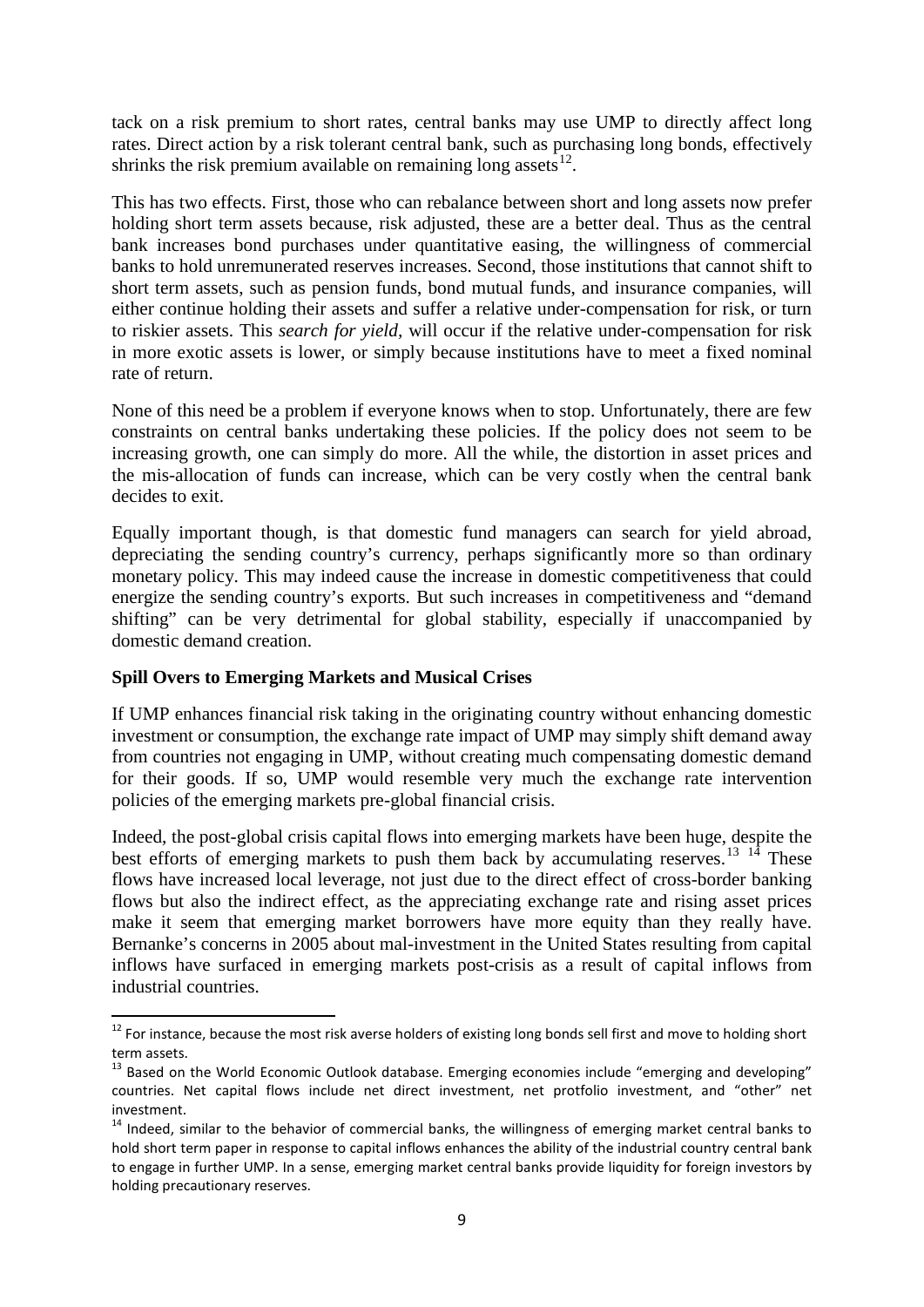tack on a risk premium to short rates, central banks may use UMP to directly affect long rates. Direct action by a risk tolerant central bank, such as purchasing long bonds, effectively shrinks the risk premium available on remaining long assets  $12$ .

This has two effects. First, those who can rebalance between short and long assets now prefer holding short term assets because, risk adjusted, these are a better deal. Thus as the central bank increases bond purchases under quantitative easing, the willingness of commercial banks to hold unremunerated reserves increases. Second, those institutions that cannot shift to short term assets, such as pension funds, bond mutual funds, and insurance companies, will either continue holding their assets and suffer a relative under-compensation for risk, or turn to riskier assets. This *search for yield,* will occur if the relative under-compensation for risk in more exotic assets is lower, or simply because institutions have to meet a fixed nominal rate of return.

None of this need be a problem if everyone knows when to stop. Unfortunately, there are few constraints on central banks undertaking these policies. If the policy does not seem to be increasing growth, one can simply do more. All the while, the distortion in asset prices and the mis-allocation of funds can increase, which can be very costly when the central bank decides to exit.

Equally important though, is that domestic fund managers can search for yield abroad, depreciating the sending country's currency, perhaps significantly more so than ordinary monetary policy. This may indeed cause the increase in domestic competitiveness that could energize the sending country's exports. But such increases in competitiveness and "demand shifting" can be very detrimental for global stability, especially if unaccompanied by domestic demand creation.

## **Spill Overs to Emerging Markets and Musical Crises**

<u>.</u>

If UMP enhances financial risk taking in the originating country without enhancing domestic investment or consumption, the exchange rate impact of UMP may simply shift demand away from countries not engaging in UMP, without creating much compensating domestic demand for their goods. If so, UMP would resemble very much the exchange rate intervention policies of the emerging markets pre-global financial crisis.

Indeed, the post-global crisis capital flows into emerging markets have been huge, despite the best efforts of emerging markets to push them back by accumulating reserves.<sup>[13](#page-8-1) [14](#page-8-2)</sup> These flows have increased local leverage, not just due to the direct effect of cross-border banking flows but also the indirect effect, as the appreciating exchange rate and rising asset prices make it seem that emerging market borrowers have more equity than they really have. Bernanke's concerns in 2005 about mal-investment in the United States resulting from capital inflows have surfaced in emerging markets post-crisis as a result of capital inflows from industrial countries.

<span id="page-8-0"></span><sup>&</sup>lt;sup>12</sup> For instance, because the most risk averse holders of existing long bonds sell first and move to holding short term assets.

<span id="page-8-1"></span><sup>&</sup>lt;sup>13</sup> Based on the World Economic Outlook database. Emerging economies include "emerging and developing" countries. Net capital flows include net direct investment, net protfolio investment, and "other" net investment.

<span id="page-8-2"></span><sup>&</sup>lt;sup>14</sup> Indeed, similar to the behavior of commercial banks, the willingness of emerging market central banks to hold short term paper in response to capital inflows enhances the ability of the industrial country central bank to engage in further UMP. In a sense, emerging market central banks provide liquidity for foreign investors by holding precautionary reserves.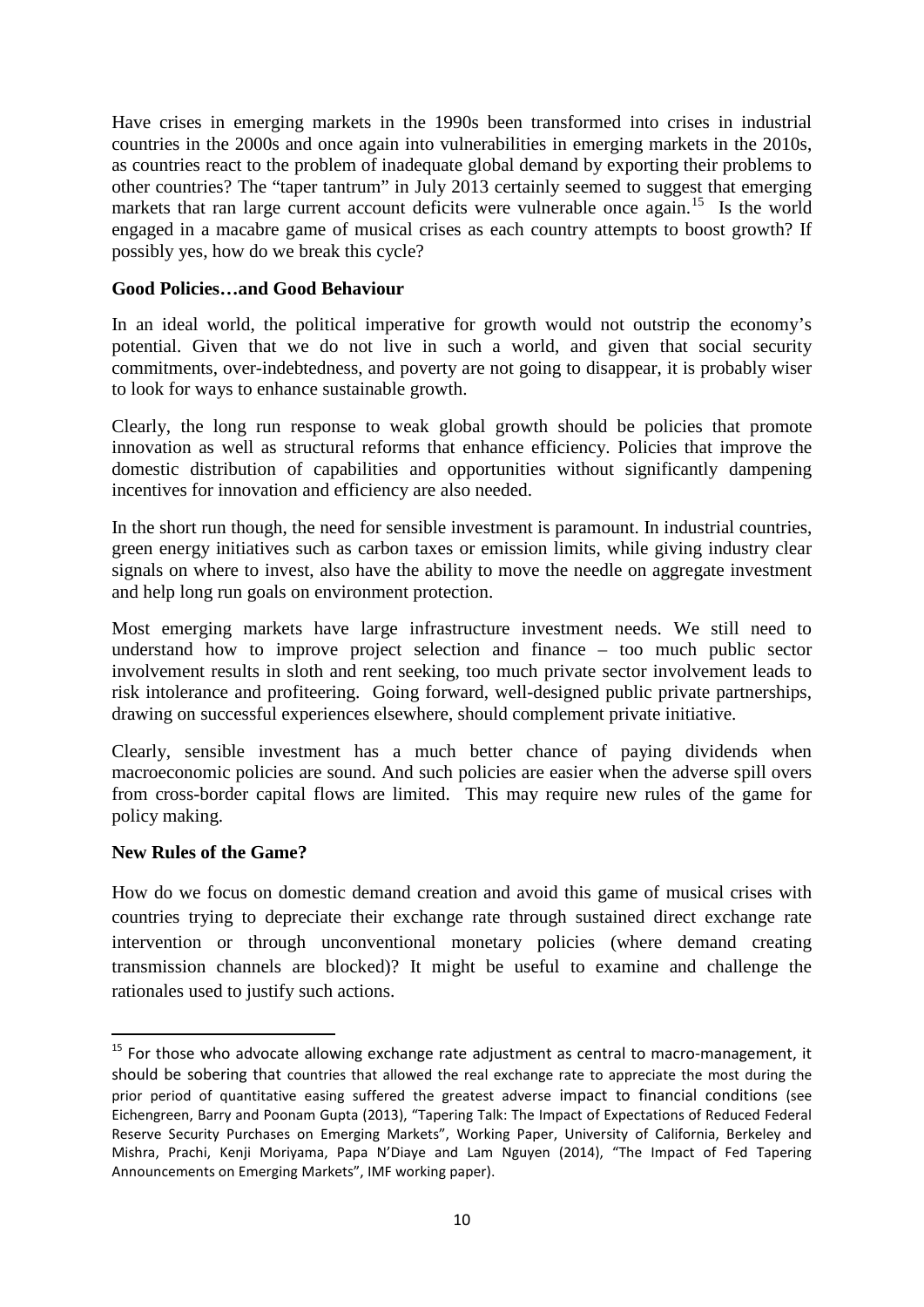Have crises in emerging markets in the 1990s been transformed into crises in industrial countries in the 2000s and once again into vulnerabilities in emerging markets in the 2010s, as countries react to the problem of inadequate global demand by exporting their problems to other countries? The "taper tantrum" in July 2013 certainly seemed to suggest that emerging markets that ran large current account deficits were vulnerable once again.<sup>[15](#page-9-0)</sup> Is the world engaged in a macabre game of musical crises as each country attempts to boost growth? If possibly yes, how do we break this cycle?

### **Good Policies…and Good Behaviour**

In an ideal world, the political imperative for growth would not outstrip the economy's potential. Given that we do not live in such a world, and given that social security commitments, over-indebtedness, and poverty are not going to disappear, it is probably wiser to look for ways to enhance sustainable growth.

Clearly, the long run response to weak global growth should be policies that promote innovation as well as structural reforms that enhance efficiency. Policies that improve the domestic distribution of capabilities and opportunities without significantly dampening incentives for innovation and efficiency are also needed.

In the short run though, the need for sensible investment is paramount. In industrial countries, green energy initiatives such as carbon taxes or emission limits, while giving industry clear signals on where to invest, also have the ability to move the needle on aggregate investment and help long run goals on environment protection.

Most emerging markets have large infrastructure investment needs. We still need to understand how to improve project selection and finance – too much public sector involvement results in sloth and rent seeking, too much private sector involvement leads to risk intolerance and profiteering. Going forward, well-designed public private partnerships, drawing on successful experiences elsewhere, should complement private initiative.

Clearly, sensible investment has a much better chance of paying dividends when macroeconomic policies are sound. And such policies are easier when the adverse spill overs from cross-border capital flows are limited. This may require new rules of the game for policy making.

## **New Rules of the Game?**

.<br>-

How do we focus on domestic demand creation and avoid this game of musical crises with countries trying to depreciate their exchange rate through sustained direct exchange rate intervention or through unconventional monetary policies (where demand creating transmission channels are blocked)? It might be useful to examine and challenge the rationales used to justify such actions.

<span id="page-9-0"></span> $15$  For those who advocate allowing exchange rate adjustment as central to macro-management, it should be sobering that countries that allowed the real exchange rate to appreciate the most during the prior period of quantitative easing suffered the greatest adverse impact to financial conditions (see Eichengreen, Barry and Poonam Gupta (2013), "Tapering Talk: The Impact of Expectations of Reduced Federal Reserve Security Purchases on Emerging Markets", Working Paper, University of California, Berkeley and Mishra, Prachi, Kenji Moriyama, Papa N'Diaye and Lam Nguyen (2014), "The Impact of Fed Tapering Announcements on Emerging Markets", IMF working paper).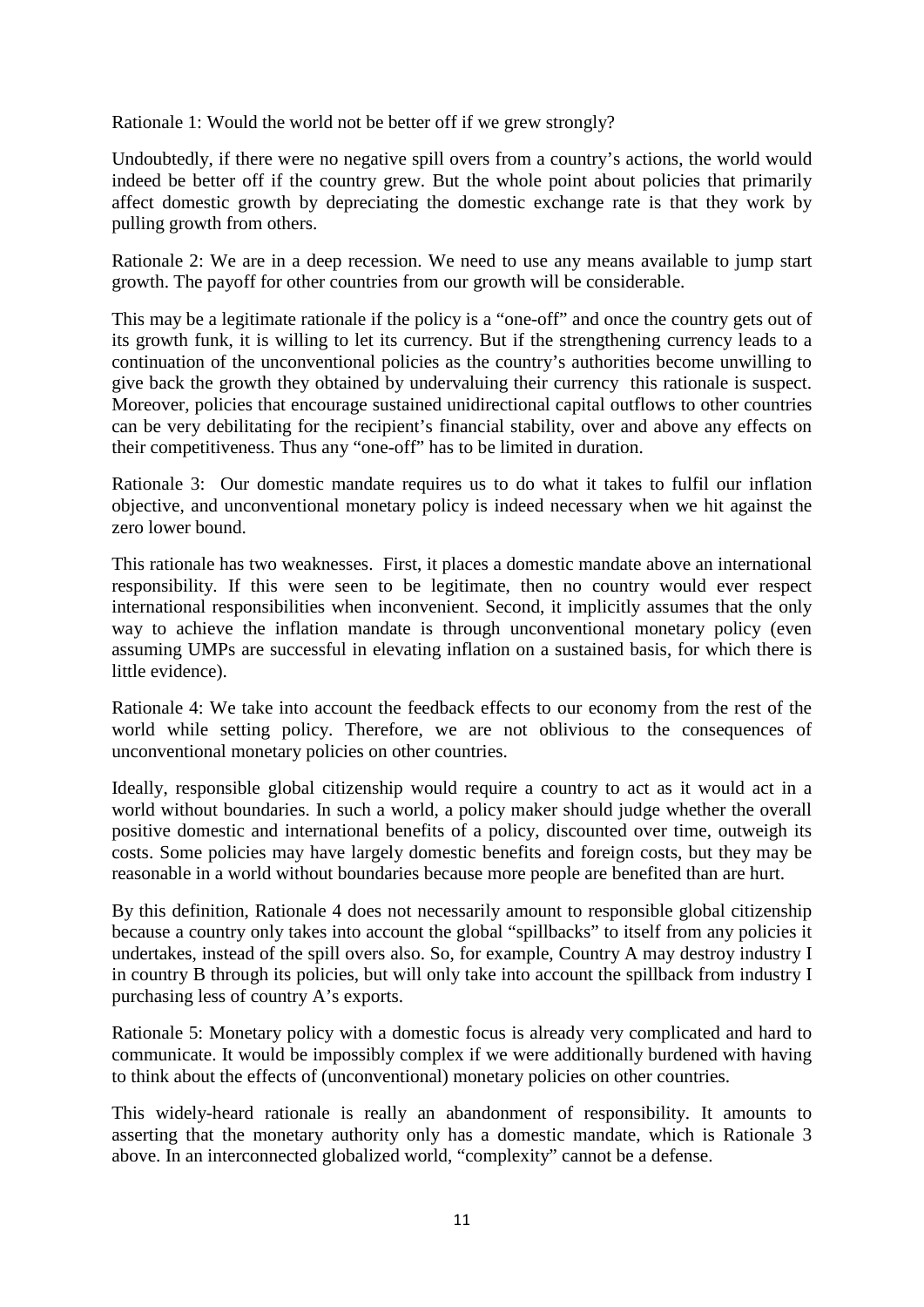Rationale 1: Would the world not be better off if we grew strongly?

Undoubtedly, if there were no negative spill overs from a country's actions, the world would indeed be better off if the country grew. But the whole point about policies that primarily affect domestic growth by depreciating the domestic exchange rate is that they work by pulling growth from others.

Rationale 2: We are in a deep recession. We need to use any means available to jump start growth. The payoff for other countries from our growth will be considerable.

This may be a legitimate rationale if the policy is a "one-off" and once the country gets out of its growth funk, it is willing to let its currency. But if the strengthening currency leads to a continuation of the unconventional policies as the country's authorities become unwilling to give back the growth they obtained by undervaluing their currency this rationale is suspect. Moreover, policies that encourage sustained unidirectional capital outflows to other countries can be very debilitating for the recipient's financial stability, over and above any effects on their competitiveness. Thus any "one-off" has to be limited in duration.

Rationale 3: Our domestic mandate requires us to do what it takes to fulfil our inflation objective, and unconventional monetary policy is indeed necessary when we hit against the zero lower bound.

This rationale has two weaknesses. First, it places a domestic mandate above an international responsibility. If this were seen to be legitimate, then no country would ever respect international responsibilities when inconvenient. Second, it implicitly assumes that the only way to achieve the inflation mandate is through unconventional monetary policy (even assuming UMPs are successful in elevating inflation on a sustained basis, for which there is little evidence).

Rationale 4: We take into account the feedback effects to our economy from the rest of the world while setting policy. Therefore, we are not oblivious to the consequences of unconventional monetary policies on other countries.

Ideally, responsible global citizenship would require a country to act as it would act in a world without boundaries. In such a world, a policy maker should judge whether the overall positive domestic and international benefits of a policy, discounted over time, outweigh its costs. Some policies may have largely domestic benefits and foreign costs, but they may be reasonable in a world without boundaries because more people are benefited than are hurt.

By this definition, Rationale 4 does not necessarily amount to responsible global citizenship because a country only takes into account the global "spillbacks" to itself from any policies it undertakes, instead of the spill overs also. So, for example, Country A may destroy industry I in country B through its policies, but will only take into account the spillback from industry I purchasing less of country A's exports.

Rationale 5: Monetary policy with a domestic focus is already very complicated and hard to communicate. It would be impossibly complex if we were additionally burdened with having to think about the effects of (unconventional) monetary policies on other countries.

This widely-heard rationale is really an abandonment of responsibility. It amounts to asserting that the monetary authority only has a domestic mandate, which is Rationale 3 above. In an interconnected globalized world, "complexity" cannot be a defense.